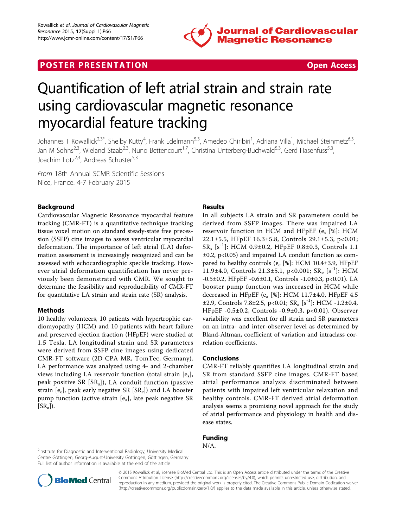

# **POSTER PRESENTATION CONSUMING THE SECOND CONSUMING THE SECOND CONSUMING THE SECOND CONSUMING THE SECOND CONSUMING THE SECOND CONSUMING THE SECOND CONSUMING THE SECOND CONSUMING THE SECOND CONSUMING THE SECOND CONSUMING**



# Quantification of left atrial strain and strain rate using cardiovascular magnetic resonance myocardial feature tracking

Johannes T Kowallick<sup>2,3\*</sup>, Shelby Kutty<sup>4</sup>, Frank Edelmann<sup>5,3</sup>, Amedeo Chiribiri<sup>1</sup>, Adriana Villa<sup>1</sup>, Michael Steinmetz<sup>6,3</sup>, Jan M Sohns<sup>2,3</sup>, Wieland Staab<sup>2,3</sup>, Nuno Bettencourt<sup>1,7</sup>, Christina Unterberg-Buchwald<sup>5,3</sup>, Gerd Hasenfuss<sup>5,3</sup>, Joachim Lotz<sup>2,3</sup>, Andreas Schuster<sup>5,3</sup>

From 18th Annual SCMR Scientific Sessions Nice, France. 4-7 February 2015

### Background

Cardiovascular Magnetic Resonance myocardial feature tracking (CMR-FT) is a quantitative technique tracking tissue voxel motion on standard steady-state free precession (SSFP) cine images to assess ventricular myocardial deformation. The importance of left atrial (LA) deformation assessment is increasingly recognized and can be assessed with echocardiographic speckle tracking. However atrial deformation quantification has never previously been demonstrated with CMR. We sought to determine the feasibility and reproducibility of CMR-FT for quantitative LA strain and strain rate (SR) analysis.

#### Methods

10 healthy volunteers, 10 patients with hypertrophic cardiomyopathy (HCM) and 10 patients with heart failure and preserved ejection fraction (HFpEF) were studied at 1.5 Tesla. LA longitudinal strain and SR parameters were derived from SSFP cine images using dedicated CMR-FT software (2D CPA MR, TomTec, Germany). LA performance was analyzed using 4- and 2-chamber views including LA reservoir function (total strain  $[e_s]$ , peak positive SR  $[SR_s]$ ), LA conduit function (passive strain  $[e_e]$ , peak early negative SR  $[SR_e]$ ) and LA booster pump function (active strain [ea], late peak negative SR  $[SR_a]$ ).

#### Results

In all subjects LA strain and SR parameters could be derived from SSFP images. There was impaired LA reservoir function in HCM and HFpEF ( $e_s$  [%]: HCM 22.1±5.5, HFpEF 16.3±5.8, Controls 29.1±5.3, p<0.01; SRs [s-1]: HCM 0.9±0.2, HFpEF 0.8±0.3, Controls 1.1  $\pm 0.2$ , p<0.05) and impaired LA conduit function as compared to healthy controls (e $_{\rm e}$  [%]: HCM 10.4±3.9, HFpEF 11.9±4.0, Controls 21.3±5.1, p<0.001;  $SR_e$  [s<sup>-1</sup>]: HCM -0.5±0.2, HFpEF -0.6±0.1, Controls -1.0±0.3, p<0.01). LA booster pump function was increased in HCM while decreased in HFpEF (e<sub>a</sub> [%]: HCM 11.7±4.0, HFpEF 4.5  $\pm$ 2.9, Controls 7.8 $\pm$ 2.5, p<0.01; SR<sub>a</sub> [s<sup>-1</sup>]: HCM -1.2 $\pm$ 0.4, HFpEF -0.5±0.2, Controls -0.9±0.3, p<0.01). Observer variability was excellent for all strain and SR parameters on an intra- and inter-observer level as determined by Bland-Altman, coefficient of variation and intraclass correlation coefficients.

#### Conclusions

CMR-FT reliably quantifies LA longitudinal strain and SR from standard SSFP cine images. CMR-FT based atrial performance analysis discriminated between patients with impaired left ventricular relaxation and healthy controls. CMR-FT derived atrial deformation analysis seems a promising novel approach for the study of atrial performance and physiology in health and disease states.

## Funding

 $\frac{1}{2}$ Institute for Diagnostic and Interventional Radiology, University Medical  $N/A.$ Centre Göttingen, Georg-August-University Göttingen, Göttingen, Germany Full list of author information is available at the end of the article



© 2015 Kowallick et al; licensee BioMed Central Ltd. This is an Open Access article distributed under the terms of the Creative Commons Attribution License [\(http://creativecommons.org/licenses/by/4.0](http://creativecommons.org/licenses/by/4.0)), which permits unrestricted use, distribution, and reproduction in any medium, provided the original work is properly cited. The Creative Commons Public Domain Dedication waiver [\(http://creativecommons.org/publicdomain/zero/1.0/](http://creativecommons.org/publicdomain/zero/1.0/)) applies to the data made available in this article, unless otherwise stated.